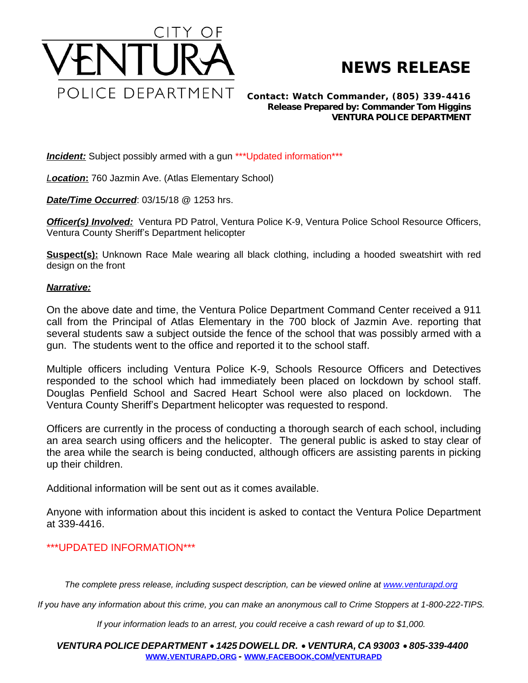

## **NEWS RELEASE**

*Contact: Watch Commander, (805) 339-4416 Release Prepared by: Commander Tom Higgins* **VENTURA POLICE DEPARTMENT**

**Incident:** Subject possibly armed with a gun \*\*\* Updated information\*\*\*

*Location***:** 760 Jazmin Ave. (Atlas Elementary School)

*Date/Time Occurred*: 03/15/18 @ 1253 hrs.

**Officer(s) Involved:** Ventura PD Patrol, Ventura Police K-9, Ventura Police School Resource Officers, Ventura County Sheriff's Department helicopter

**Suspect(s):** Unknown Race Male wearing all black clothing, including a hooded sweatshirt with red design on the front

## *Narrative:*

On the above date and time, the Ventura Police Department Command Center received a 911 call from the Principal of Atlas Elementary in the 700 block of Jazmin Ave. reporting that several students saw a subject outside the fence of the school that was possibly armed with a gun. The students went to the office and reported it to the school staff.

Multiple officers including Ventura Police K-9, Schools Resource Officers and Detectives responded to the school which had immediately been placed on lockdown by school staff. Douglas Penfield School and Sacred Heart School were also placed on lockdown. The Ventura County Sheriff's Department helicopter was requested to respond.

Officers are currently in the process of conducting a thorough search of each school, including an area search using officers and the helicopter. The general public is asked to stay clear of the area while the search is being conducted, although officers are assisting parents in picking up their children.

Additional information will be sent out as it comes available.

Anyone with information about this incident is asked to contact the Ventura Police Department at 339-4416.

## \*\*\*UPDATED INFORMATION\*\*\*

The complete press release, including suspect description, can be viewed online at [www.venturapd.org](http://www.venturapd.org)

*If you have any information about this crime, you can make an anonymous call to Crime Stoppers at 1-800-222-TIPS.*

*If your information leads to an arrest, you could receive a cash reward of up to \$1,000.*

*VENTURA POLICE DEPARTMENT* · *1425 DOWELL DR.* · *VENTURA, CA 93003* · *805-339-4400* **WWW.[VENTURAPD](http://www.venturapd.org).ORG** *-* **WWW.FACEBOOK.COM/[VENTURAPD](http://www.facebook.com/venturapd)**